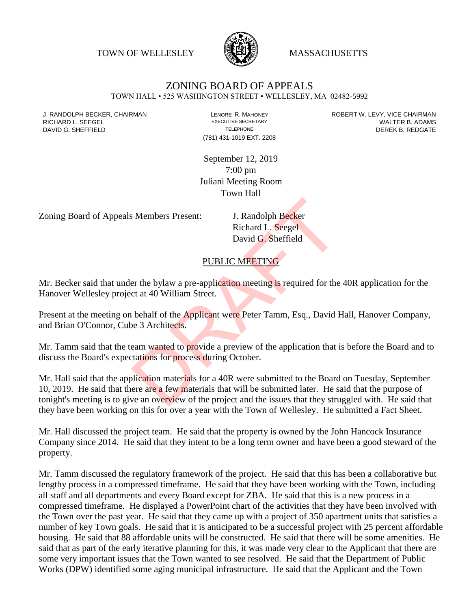TOWN OF WELLESLEY **WASSACHUSETTS** 



# ZONING BOARD OF APPEALS

TOWN HALL • 525 WASHINGTON STREET • WELLESLEY, MA 02482-5992

(781) 431-1019 EXT. 2208

J. RANDOLPH BECKER, CHAIRMAN LAND LENORE R. MAHONEY LENORE RESOLUTIVE SECRETARY LEVY, VICE CHAIRMAN LAND RISPO<br>RICHARD L. SFFGFI LADAMS RICHARD L. SEEGEL **EXECUTIVE SECRETARY CONTROLLY SECRETARY WALTER B. ADAMS** DAVID G. SHEFFIELD **TELEPHONE** TELEPHONE TELEPHONE **TELEPHONE DEREK B. REDGATE** 

> September 12, 2019 7:00 pm Juliani Meeting Room Town Hall

Zoning Board of Appeals Members Present: J. Randolph Becker

Richard L. Seegel David G. Sheffield

#### PUBLIC MEETING

Mr. Becker said that under the bylaw a pre-application meeting is required for the 40R application for the Hanover Wellesley project at 40 William Street.

Present at the meeting on behalf of the Applicant were Peter Tamm, Esq., David Hall, Hanover Company, and Brian O'Connor, Cube 3 Architects.

Mr. Tamm said that the team wanted to provide a preview of the application that is before the Board and to discuss the Board's expectations for process during October.

Mr. Hall said that the application materials for a 40R were submitted to the Board on Tuesday, September 10, 2019. He said that there are a few materials that will be submitted later. He said that the purpose of tonight's meeting is to give an overview of the project and the issues that they struggled with. He said that they have been working on this for over a year with the Town of Wellesley. He submitted a Fact Sheet. J. Randolph Becker<br>
Richard L. Seegel<br>
David G. Sheffield<br>
DuBLIC MEETING<br>
PUBLIC MEETING<br>
er the bylaw a pre-application meeting is required for the<br>
ct at 40 William Street.<br>
behalf of the Applicant were Peter Tamm, Esq.

Mr. Hall discussed the project team. He said that the property is owned by the John Hancock Insurance Company since 2014. He said that they intent to be a long term owner and have been a good steward of the property.

Mr. Tamm discussed the regulatory framework of the project. He said that this has been a collaborative but lengthy process in a compressed timeframe. He said that they have been working with the Town, including all staff and all departments and every Board except for ZBA. He said that this is a new process in a compressed timeframe. He displayed a PowerPoint chart of the activities that they have been involved with the Town over the past year. He said that they came up with a project of 350 apartment units that satisfies a number of key Town goals. He said that it is anticipated to be a successful project with 25 percent affordable housing. He said that 88 affordable units will be constructed. He said that there will be some amenities. He said that as part of the early iterative planning for this, it was made very clear to the Applicant that there are some very important issues that the Town wanted to see resolved. He said that the Department of Public Works (DPW) identified some aging municipal infrastructure. He said that the Applicant and the Town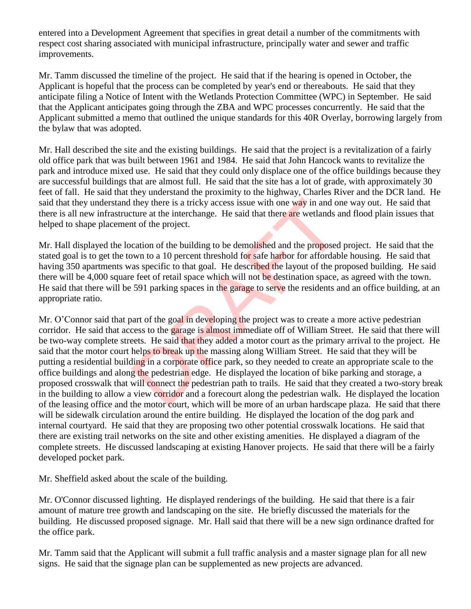entered into a Development Agreement that specifies in great detail a number of the commitments with respect cost sharing associated with municipal infrastructure, principally water and sewer and traffic improvements.

Mr. Tamm discussed the timeline of the project. He said that if the hearing is opened in October, the Applicant is hopeful that the process can be completed by year's end or thereabouts. He said that they anticipate filing a Notice of Intent with the Wetlands Protection Committee (WPC) in September. He said that the Applicant anticipates going through the ZBA and WPC processes concurrently. He said that the Applicant submitted a memo that outlined the unique standards for this 40R Overlay, borrowing largely from the bylaw that was adopted.

Mr. Hall described the site and the existing buildings. He said that the project is a revitalization of a fairly old office park that was built between 1961 and 1984. He said that John Hancock wants to revitalize the park and introduce mixed use. He said that they could only displace one of the office buildings because they are successful buildings that are almost full. He said that the site has a lot of grade, with approximately 30 feet of fall. He said that they understand the proximity to the highway, Charles River and the DCR land. He said that they understand they there is a tricky access issue with one way in and one way out. He said that there is all new infrastructure at the interchange. He said that there are wetlands and flood plain issues that helped to shape placement of the project.

Mr. Hall displayed the location of the building to be demolished and the proposed project. He said that the stated goal is to get the town to a 10 percent threshold for safe harbor for affordable housing. He said that having 350 apartments was specific to that goal. He described the layout of the proposed building. He said there will be 4,000 square feet of retail space which will not be destination space, as agreed with the town. He said that there will be 591 parking spaces in the garage to serve the residents and an office building, at an appropriate ratio.

Mr. O'Connor said that part of the goal in developing the project was to create a more active pedestrian corridor. He said that access to the garage is almost immediate off of William Street. He said that there will be two-way complete streets. He said that they added a motor court as the primary arrival to the project. He said that the motor court helps to break up the massing along William Street. He said that they will be putting a residential building in a corporate office park, so they needed to create an appropriate scale to the office buildings and along the pedestrian edge. He displayed the location of bike parking and storage, a proposed crosswalk that will connect the pedestrian path to trails. He said that they created a two-story break in the building to allow a view corridor and a forecourt along the pedestrian walk. He displayed the location of the leasing office and the motor court, which will be more of an urban hardscape plaza. He said that there will be sidewalk circulation around the entire building. He displayed the location of the dog park and internal courtyard. He said that they are proposing two other potential crosswalk locations. He said that there are existing trail networks on the site and other existing amenities. He displayed a diagram of the complete streets. He discussed landscaping at existing Hanover projects. He said that there will be a fairly developed pocket park. they there is a tricky access issue with one way in and on<br>ture at the interchange. He said that there are wetlands a<br>to the project.<br>Cation of the building to be demolished and the proposed<br>wun to a 10 percent threshold f

Mr. Sheffield asked about the scale of the building.

Mr. O'Connor discussed lighting. He displayed renderings of the building. He said that there is a fair amount of mature tree growth and landscaping on the site. He briefly discussed the materials for the building. He discussed proposed signage. Mr. Hall said that there will be a new sign ordinance drafted for the office park.

Mr. Tamm said that the Applicant will submit a full traffic analysis and a master signage plan for all new signs. He said that the signage plan can be supplemented as new projects are advanced.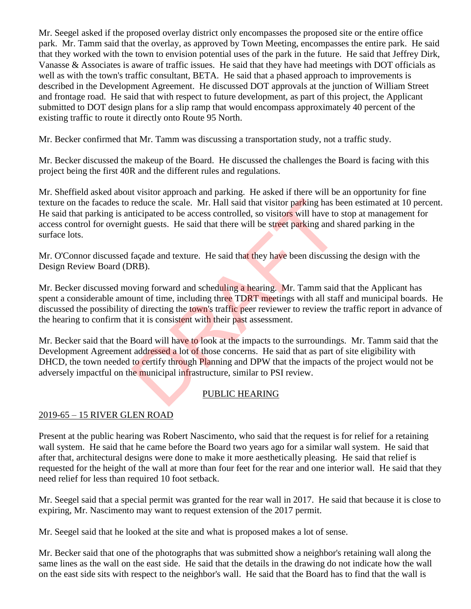Mr. Seegel asked if the proposed overlay district only encompasses the proposed site or the entire office park. Mr. Tamm said that the overlay, as approved by Town Meeting, encompasses the entire park. He said that they worked with the town to envision potential uses of the park in the future. He said that Jeffrey Dirk, Vanasse & Associates is aware of traffic issues. He said that they have had meetings with DOT officials as well as with the town's traffic consultant, BETA. He said that a phased approach to improvements is described in the Development Agreement. He discussed DOT approvals at the junction of William Street and frontage road. He said that with respect to future development, as part of this project, the Applicant submitted to DOT design plans for a slip ramp that would encompass approximately 40 percent of the existing traffic to route it directly onto Route 95 North.

Mr. Becker confirmed that Mr. Tamm was discussing a transportation study, not a traffic study.

Mr. Becker discussed the makeup of the Board. He discussed the challenges the Board is facing with this project being the first 40R and the different rules and regulations.

Mr. Sheffield asked about visitor approach and parking. He asked if there will be an opportunity for fine texture on the facades to reduce the scale. Mr. Hall said that visitor parking has been estimated at 10 percent. He said that parking is anticipated to be access controlled, so visitors will have to stop at management for access control for overnight guests. He said that there will be street parking and shared parking in the surface lots.

Mr. O'Connor discussed façade and texture. He said that they have been discussing the design with the Design Review Board (DRB).

Mr. Becker discussed moving forward and scheduling a hearing. Mr. Tamm said that the Applicant has spent a considerable amount of time, including three TDRT meetings with all staff and municipal boards. He discussed the possibility of directing the town's traffic peer reviewer to review the traffic report in advance of the hearing to confirm that it is consistent with their past assessment. reduce the scale. Mr. Hall said that visitor parking has been discussed to be access controlled, so visitors will have to gent guests. He said that there will be street parking and s façade and texture. He said that they h

Mr. Becker said that the Board will have to look at the impacts to the surroundings. Mr. Tamm said that the Development Agreement addressed a lot of those concerns. He said that as part of site eligibility with DHCD, the town needed to certify through Planning and DPW that the impacts of the project would not be adversely impactful on the municipal infrastructure, similar to PSI review.

# PUBLIC HEARING

# 2019-65 – 15 RIVER GLEN ROAD

Present at the public hearing was Robert Nascimento, who said that the request is for relief for a retaining wall system. He said that he came before the Board two years ago for a similar wall system. He said that after that, architectural designs were done to make it more aesthetically pleasing. He said that relief is requested for the height of the wall at more than four feet for the rear and one interior wall. He said that they need relief for less than required 10 foot setback.

Mr. Seegel said that a special permit was granted for the rear wall in 2017. He said that because it is close to expiring, Mr. Nascimento may want to request extension of the 2017 permit.

Mr. Seegel said that he looked at the site and what is proposed makes a lot of sense.

Mr. Becker said that one of the photographs that was submitted show a neighbor's retaining wall along the same lines as the wall on the east side. He said that the details in the drawing do not indicate how the wall on the east side sits with respect to the neighbor's wall. He said that the Board has to find that the wall is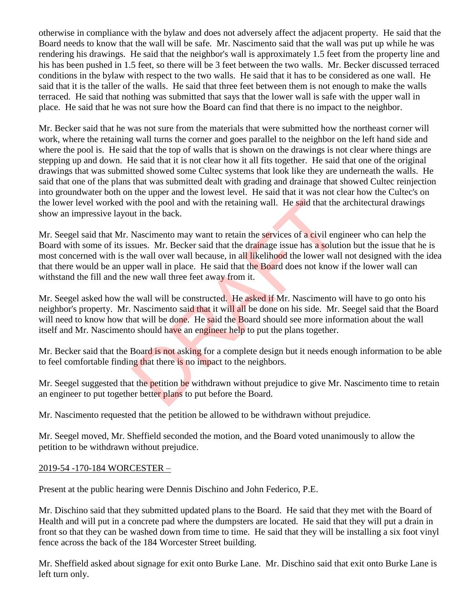otherwise in compliance with the bylaw and does not adversely affect the adjacent property. He said that the Board needs to know that the wall will be safe. Mr. Nascimento said that the wall was put up while he was rendering his drawings. He said that the neighbor's wall is approximately 1.5 feet from the property line and his has been pushed in 1.5 feet, so there will be 3 feet between the two walls. Mr. Becker discussed terraced conditions in the bylaw with respect to the two walls. He said that it has to be considered as one wall. He said that it is the taller of the walls. He said that three feet between them is not enough to make the walls terraced. He said that nothing was submitted that says that the lower wall is safe with the upper wall in place. He said that he was not sure how the Board can find that there is no impact to the neighbor.

Mr. Becker said that he was not sure from the materials that were submitted how the northeast corner will work, where the retaining wall turns the corner and goes parallel to the neighbor on the left hand side and where the pool is. He said that the top of walls that is shown on the drawings is not clear where things are stepping up and down. He said that it is not clear how it all fits together. He said that one of the original drawings that was submitted showed some Cultec systems that look like they are underneath the walls. He said that one of the plans that was submitted dealt with grading and drainage that showed Cultec reinjection into groundwater both on the upper and the lowest level. He said that it was not clear how the Cultec's on the lower level worked with the pool and with the retaining wall. He said that the architectural drawings show an impressive layout in the back.

Mr. Seegel said that Mr. Nascimento may want to retain the services of a civil engineer who can help the Board with some of its issues. Mr. Becker said that the drainage issue has a solution but the issue that he is most concerned with is the wall over wall because, in all likelihood the lower wall not designed with the idea that there would be an upper wall in place. He said that the Board does not know if the lower wall can withstand the fill and the new wall three feet away from it. ith the pool and with the retaining wall. He said that the<br>ut in the back.<br>Mascimento may want to retain the services of a civil eng<br>sues. Mr. Becker said that the drainage issue has a soluti<br>ne wall over wall because, in

Mr. Seegel asked how the wall will be constructed. He asked if Mr. Nascimento will have to go onto his neighbor's property. Mr. Nascimento said that it will all be done on his side. Mr. Seegel said that the Board will need to know how that will be done. He said the Board should see more information about the wall itself and Mr. Nascimento should have an engineer help to put the plans together.

Mr. Becker said that the Board is not asking for a complete design but it needs enough information to be able to feel comfortable finding that there is no impact to the neighbors.

Mr. Seegel suggested that the petition be withdrawn without prejudice to give Mr. Nascimento time to retain an engineer to put together better plans to put before the Board.

Mr. Nascimento requested that the petition be allowed to be withdrawn without prejudice.

Mr. Seegel moved, Mr. Sheffield seconded the motion, and the Board voted unanimously to allow the petition to be withdrawn without prejudice.

#### 2019-54 -170-184 WORCESTER –

Present at the public hearing were Dennis Dischino and John Federico, P.E.

Mr. Dischino said that they submitted updated plans to the Board. He said that they met with the Board of Health and will put in a concrete pad where the dumpsters are located. He said that they will put a drain in front so that they can be washed down from time to time. He said that they will be installing a six foot vinyl fence across the back of the 184 Worcester Street building.

Mr. Sheffield asked about signage for exit onto Burke Lane. Mr. Dischino said that exit onto Burke Lane is left turn only.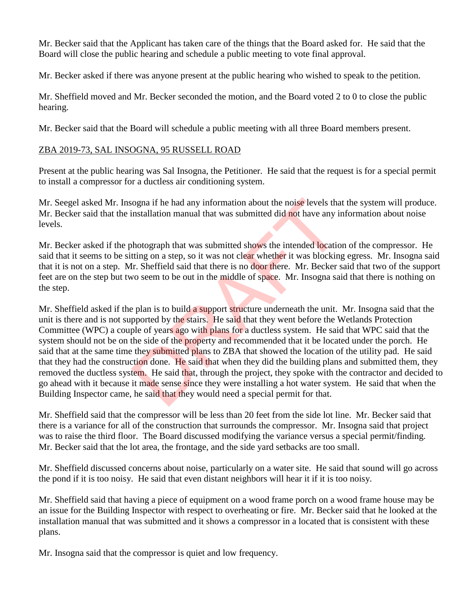Mr. Becker said that the Applicant has taken care of the things that the Board asked for. He said that the Board will close the public hearing and schedule a public meeting to vote final approval.

Mr. Becker asked if there was anyone present at the public hearing who wished to speak to the petition.

Mr. Sheffield moved and Mr. Becker seconded the motion, and the Board voted 2 to 0 to close the public hearing.

Mr. Becker said that the Board will schedule a public meeting with all three Board members present.

#### ZBA 2019-73, SAL INSOGNA, 95 RUSSELL ROAD

Present at the public hearing was Sal Insogna, the Petitioner. He said that the request is for a special permit to install a compressor for a ductless air conditioning system.

Mr. Seegel asked Mr. Insogna if he had any information about the noise levels that the system will produce. Mr. Becker said that the installation manual that was submitted did not have any information about noise levels.

Mr. Becker asked if the photograph that was submitted shows the intended location of the compressor. He said that it seems to be sitting on a step, so it was not clear whether it was blocking egress. Mr. Insogna said that it is not on a step. Mr. Sheffield said that there is no door there. Mr. Becker said that two of the support feet are on the step but two seem to be out in the middle of space. Mr. Insogna said that there is nothing on the step.

Mr. Sheffield asked if the plan is to build a support structure underneath the unit. Mr. Insogna said that the unit is there and is not supported by the stairs. He said that they went before the Wetlands Protection Committee (WPC) a couple of years ago with plans for a ductless system. He said that WPC said that the system should not be on the side of the property and recommended that it be located under the porch. He said that at the same time they submitted plans to ZBA that showed the location of the utility pad. He said that they had the construction done. He said that when they did the building plans and submitted them, they removed the ductless system. He said that, through the project, they spoke with the contractor and decided to go ahead with it because it made sense since they were installing a hot water system. He said that when the Building Inspector came, he said that they would need a special permit for that. ogna if he had any information about the noise levels that<br>installation manual that was submitted did not have any is<br>thotograph that was submitted shows the intended locatic<br>tting on a step, so it was not clear whether it

Mr. Sheffield said that the compressor will be less than 20 feet from the side lot line. Mr. Becker said that there is a variance for all of the construction that surrounds the compressor. Mr. Insogna said that project was to raise the third floor. The Board discussed modifying the variance versus a special permit/finding. Mr. Becker said that the lot area, the frontage, and the side yard setbacks are too small.

Mr. Sheffield discussed concerns about noise, particularly on a water site. He said that sound will go across the pond if it is too noisy. He said that even distant neighbors will hear it if it is too noisy.

Mr. Sheffield said that having a piece of equipment on a wood frame porch on a wood frame house may be an issue for the Building Inspector with respect to overheating or fire. Mr. Becker said that he looked at the installation manual that was submitted and it shows a compressor in a located that is consistent with these plans.

Mr. Insogna said that the compressor is quiet and low frequency.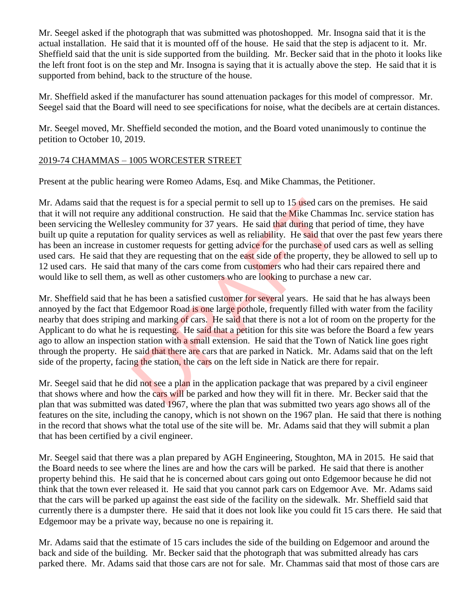Mr. Seegel asked if the photograph that was submitted was photoshopped. Mr. Insogna said that it is the actual installation. He said that it is mounted off of the house. He said that the step is adjacent to it. Mr. Sheffield said that the unit is side supported from the building. Mr. Becker said that in the photo it looks like the left front foot is on the step and Mr. Insogna is saying that it is actually above the step. He said that it is supported from behind, back to the structure of the house.

Mr. Sheffield asked if the manufacturer has sound attenuation packages for this model of compressor. Mr. Seegel said that the Board will need to see specifications for noise, what the decibels are at certain distances.

Mr. Seegel moved, Mr. Sheffield seconded the motion, and the Board voted unanimously to continue the petition to October 10, 2019.

#### 2019-74 CHAMMAS – 1005 WORCESTER STREET

Present at the public hearing were Romeo Adams, Esq. and Mike Chammas, the Petitioner.

Mr. Adams said that the request is for a special permit to sell up to 15 used cars on the premises. He said that it will not require any additional construction. He said that the Mike Chammas Inc. service station has been servicing the Wellesley community for 37 years. He said that during that period of time, they have built up quite a reputation for quality services as well as reliability. He said that over the past few years there has been an increase in customer requests for getting advice for the purchase of used cars as well as selling used cars. He said that they are requesting that on the east side of the property, they be allowed to sell up to 12 used cars. He said that many of the cars come from customers who had their cars repaired there and would like to sell them, as well as other customers who are looking to purchase a new car. request is for a special permit to sell up to 15 used cars on y additional construction. He said that the Mike Chammisley community for 37 years. He said that during that per a for quality services as well as reliability.

Mr. Sheffield said that he has been a satisfied customer for several years. He said that he has always been annoyed by the fact that Edgemoor Road is one large pothole, frequently filled with water from the facility nearby that does striping and marking of cars. He said that there is not a lot of room on the property for the Applicant to do what he is requesting. He said that a petition for this site was before the Board a few years ago to allow an inspection station with a small extension. He said that the Town of Natick line goes right through the property. He said that there are cars that are parked in Natick. Mr. Adams said that on the left side of the property, facing the station, the cars on the left side in Natick are there for repair.

Mr. Seegel said that he did not see a plan in the application package that was prepared by a civil engineer that shows where and how the cars will be parked and how they will fit in there. Mr. Becker said that the plan that was submitted was dated 1967, where the plan that was submitted two years ago shows all of the features on the site, including the canopy, which is not shown on the 1967 plan. He said that there is nothing in the record that shows what the total use of the site will be. Mr. Adams said that they will submit a plan that has been certified by a civil engineer.

Mr. Seegel said that there was a plan prepared by AGH Engineering, Stoughton, MA in 2015. He said that the Board needs to see where the lines are and how the cars will be parked. He said that there is another property behind this. He said that he is concerned about cars going out onto Edgemoor because he did not think that the town ever released it. He said that you cannot park cars on Edgemoor Ave. Mr. Adams said that the cars will be parked up against the east side of the facility on the sidewalk. Mr. Sheffield said that currently there is a dumpster there. He said that it does not look like you could fit 15 cars there. He said that Edgemoor may be a private way, because no one is repairing it.

Mr. Adams said that the estimate of 15 cars includes the side of the building on Edgemoor and around the back and side of the building. Mr. Becker said that the photograph that was submitted already has cars parked there. Mr. Adams said that those cars are not for sale. Mr. Chammas said that most of those cars are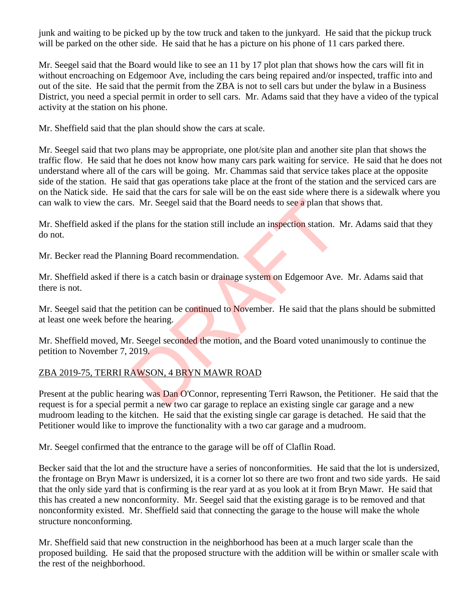junk and waiting to be picked up by the tow truck and taken to the junkyard. He said that the pickup truck will be parked on the other side. He said that he has a picture on his phone of 11 cars parked there.

Mr. Seegel said that the Board would like to see an 11 by 17 plot plan that shows how the cars will fit in without encroaching on Edgemoor Ave, including the cars being repaired and/or inspected, traffic into and out of the site. He said that the permit from the ZBA is not to sell cars but under the bylaw in a Business District, you need a special permit in order to sell cars. Mr. Adams said that they have a video of the typical activity at the station on his phone.

Mr. Sheffield said that the plan should show the cars at scale.

Mr. Seegel said that two plans may be appropriate, one plot/site plan and another site plan that shows the traffic flow. He said that he does not know how many cars park waiting for service. He said that he does not understand where all of the cars will be going. Mr. Chammas said that service takes place at the opposite side of the station. He said that gas operations take place at the front of the station and the serviced cars are on the Natick side. He said that the cars for sale will be on the east side where there is a sidewalk where you can walk to view the cars. Mr. Seegel said that the Board needs to see a plan that shows that.

Mr. Sheffield asked if the plans for the station still include an inspection station. Mr. Adams said that they do not.

Mr. Becker read the Planning Board recommendation.

Mr. Sheffield asked if there is a catch basin or drainage system on Edgemoor Ave. Mr. Adams said that there is not. Solution: Mr. Seegel said that the Board needs to see a plan that<br>
e plans for the station still include an inspection station. I<br>
ining Board recommendation.<br>
Precise is a catch basin or drainage system on Edgemoor Ave<br>
b

Mr. Seegel said that the petition can be continued to November. He said that the plans should be submitted at least one week before the hearing.

Mr. Sheffield moved, Mr. Seegel seconded the motion, and the Board voted unanimously to continue the petition to November 7, 2019.

# ZBA 2019-75, TERRI RAWSON, 4 BRYN MAWR ROAD

Present at the public hearing was Dan O'Connor, representing Terri Rawson, the Petitioner. He said that the request is for a special permit a new two car garage to replace an existing single car garage and a new mudroom leading to the kitchen. He said that the existing single car garage is detached. He said that the Petitioner would like to improve the functionality with a two car garage and a mudroom.

Mr. Seegel confirmed that the entrance to the garage will be off of Claflin Road.

Becker said that the lot and the structure have a series of nonconformities. He said that the lot is undersized, the frontage on Bryn Mawr is undersized, it is a corner lot so there are two front and two side yards. He said that the only side yard that is confirming is the rear yard at as you look at it from Bryn Mawr. He said that this has created a new nonconformity. Mr. Seegel said that the existing garage is to be removed and that nonconformity existed. Mr. Sheffield said that connecting the garage to the house will make the whole structure nonconforming.

Mr. Sheffield said that new construction in the neighborhood has been at a much larger scale than the proposed building. He said that the proposed structure with the addition will be within or smaller scale with the rest of the neighborhood.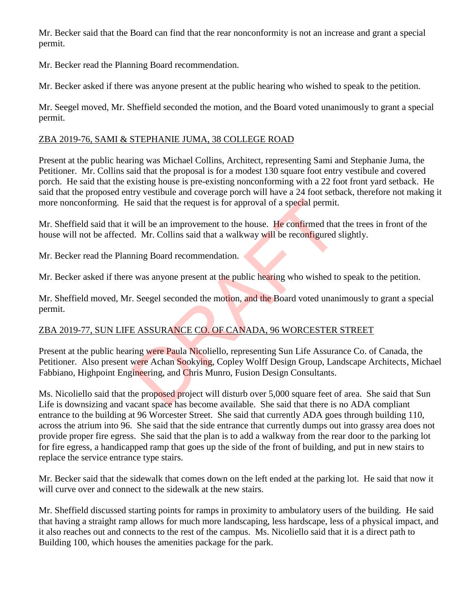Mr. Becker said that the Board can find that the rear nonconformity is not an increase and grant a special permit.

Mr. Becker read the Planning Board recommendation.

Mr. Becker asked if there was anyone present at the public hearing who wished to speak to the petition.

Mr. Seegel moved, Mr. Sheffield seconded the motion, and the Board voted unanimously to grant a special permit.

# ZBA 2019-76, SAMI & STEPHANIE JUMA, 38 COLLEGE ROAD

Present at the public hearing was Michael Collins, Architect, representing Sami and Stephanie Juma, the Petitioner. Mr. Collins said that the proposal is for a modest 130 square foot entry vestibule and covered porch. He said that the existing house is pre-existing nonconforming with a 22 foot front yard setback. He said that the proposed entry vestibule and coverage porch will have a 24 foot setback, therefore not making it more nonconforming. He said that the request is for approval of a special permit.

Mr. Sheffield said that it will be an improvement to the house. He confirmed that the trees in front of the house will not be affected. Mr. Collins said that a walkway will be reconfigured slightly.

Mr. Becker read the Planning Board recommendation.

Mr. Becker asked if there was anyone present at the public hearing who wished to speak to the petition.

Mr. Sheffield moved, Mr. Seegel seconded the motion, and the Board voted unanimously to grant a special permit.

# ZBA 2019-77, SUN LIFE ASSURANCE CO. OF CANADA, 96 WORCESTER STREET

Present at the public hearing were Paula Nicoliello, representing Sun Life Assurance Co. of Canada, the Petitioner. Also present were Achan Sookying, Copley Wolff Design Group, Landscape Architects, Michael Fabbiano, Highpoint Engineering, and Chris Munro, Fusion Design Consultants. e said that the request is for approval of a special permit.<br>
will be an improvement to the house. He confirmed that<br>
d. Mr. Collins said that a walkway will be reconfigured s<br>
ning Board recommendation.<br>
e was anyone pres

Ms. Nicoliello said that the proposed project will disturb over 5,000 square feet of area. She said that Sun Life is downsizing and vacant space has become available. She said that there is no ADA compliant entrance to the building at 96 Worcester Street. She said that currently ADA goes through building 110, across the atrium into 96. She said that the side entrance that currently dumps out into grassy area does not provide proper fire egress. She said that the plan is to add a walkway from the rear door to the parking lot for fire egress, a handicapped ramp that goes up the side of the front of building, and put in new stairs to replace the service entrance type stairs.

Mr. Becker said that the sidewalk that comes down on the left ended at the parking lot. He said that now it will curve over and connect to the sidewalk at the new stairs.

Mr. Sheffield discussed starting points for ramps in proximity to ambulatory users of the building. He said that having a straight ramp allows for much more landscaping, less hardscape, less of a physical impact, and it also reaches out and connects to the rest of the campus. Ms. Nicoliello said that it is a direct path to Building 100, which houses the amenities package for the park.